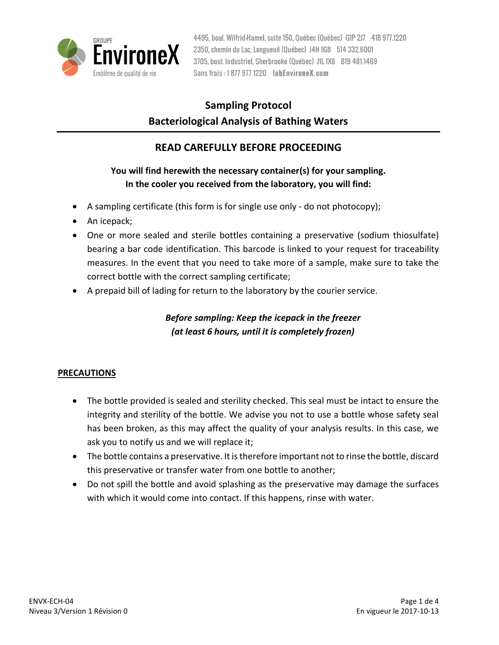

# **Sampling Protocol Bacteriological Analysis of Bathing Waters**

# **READ CAREFULLY BEFORE PROCEEDING**

## **You will find herewith the necessary container(s) for your sampling. In the cooler you received from the laboratory, you will find:**

- A sampling certificate (this form is for single use only do not photocopy);
- An icepack;
- One or more sealed and sterile bottles containing a preservative (sodium thiosulfate) bearing a bar code identification. This barcode is linked to your request for traceability measures. In the event that you need to take more of a sample, make sure to take the correct bottle with the correct sampling certificate;
- A prepaid bill of lading for return to the laboratory by the courier service.

## *Before sampling: Keep the icepack in the freezer (at least 6 hours, until it is completely frozen)*

### **PRECAUTIONS**

- The bottle provided is sealed and sterility checked. This seal must be intact to ensure the integrity and sterility of the bottle. We advise you not to use a bottle whose safety seal has been broken, as this may affect the quality of your analysis results. In this case, we ask you to notify us and we will replace it;
- The bottle contains a preservative. It is therefore important not to rinse the bottle, discard this preservative or transfer water from one bottle to another;
- Do not spill the bottle and avoid splashing as the preservative may damage the surfaces with which it would come into contact. If this happens, rinse with water.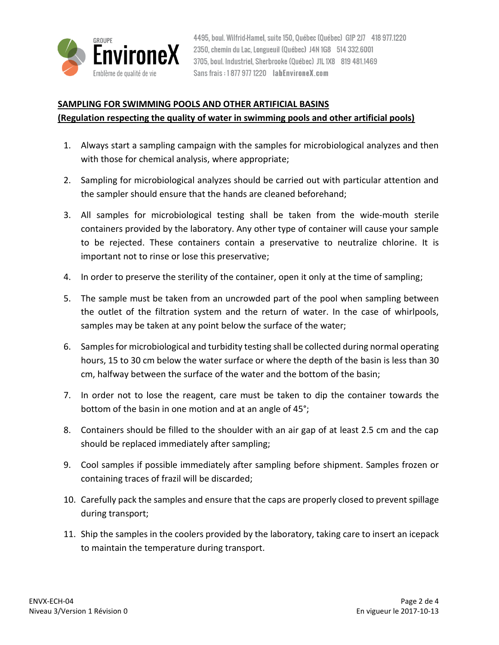

### **SAMPLING FOR SWIMMING POOLS AND OTHER ARTIFICIAL BASINS**

#### **(Regulation respecting the quality of water in swimming pools and other artificial pools)**

- 1. Always start a sampling campaign with the samples for microbiological analyzes and then with those for chemical analysis, where appropriate;
- 2. Sampling for microbiological analyzes should be carried out with particular attention and the sampler should ensure that the hands are cleaned beforehand;
- 3. All samples for microbiological testing shall be taken from the wide-mouth sterile containers provided by the laboratory. Any other type of container will cause your sample to be rejected. These containers contain a preservative to neutralize chlorine. It is important not to rinse or lose this preservative;
- 4. In order to preserve the sterility of the container, open it only at the time of sampling;
- 5. The sample must be taken from an uncrowded part of the pool when sampling between the outlet of the filtration system and the return of water. In the case of whirlpools, samples may be taken at any point below the surface of the water;
- 6. Samples for microbiological and turbidity testing shall be collected during normal operating hours, 15 to 30 cm below the water surface or where the depth of the basin is less than 30 cm, halfway between the surface of the water and the bottom of the basin;
- 7. In order not to lose the reagent, care must be taken to dip the container towards the bottom of the basin in one motion and at an angle of 45°;
- 8. Containers should be filled to the shoulder with an air gap of at least 2.5 cm and the cap should be replaced immediately after sampling;
- 9. Cool samples if possible immediately after sampling before shipment. Samples frozen or containing traces of frazil will be discarded;
- 10. Carefully pack the samples and ensure that the caps are properly closed to prevent spillage during transport;
- 11. Ship the samples in the coolers provided by the laboratory, taking care to insert an icepack to maintain the temperature during transport.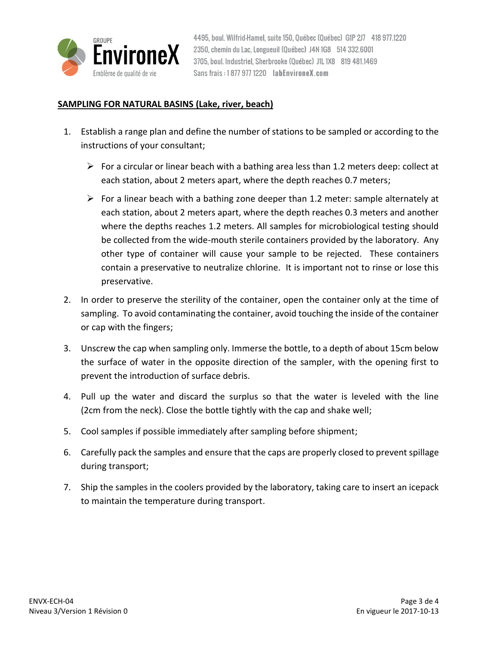

#### **SAMPLING FOR NATURAL BASINS (Lake, river, beach)**

- 1. Establish a range plan and define the number of stations to be sampled or according to the instructions of your consultant;
	- For a circular or linear beach with a bathing area less than 1.2 meters deep: collect at each station, about 2 meters apart, where the depth reaches 0.7 meters;
	- $\triangleright$  For a linear beach with a bathing zone deeper than 1.2 meter: sample alternately at each station, about 2 meters apart, where the depth reaches 0.3 meters and another where the depths reaches 1.2 meters. All samples for microbiological testing should be collected from the wide-mouth sterile containers provided by the laboratory. Any other type of container will cause your sample to be rejected. These containers contain a preservative to neutralize chlorine. It is important not to rinse or lose this preservative.
- 2. In order to preserve the sterility of the container, open the container only at the time of sampling. To avoid contaminating the container, avoid touching the inside of the container or cap with the fingers;
- 3. Unscrew the cap when sampling only. Immerse the bottle, to a depth of about 15cm below the surface of water in the opposite direction of the sampler, with the opening first to prevent the introduction of surface debris.
- 4. Pull up the water and discard the surplus so that the water is leveled with the line (2cm from the neck). Close the bottle tightly with the cap and shake well;
- 5. Cool samples if possible immediately after sampling before shipment;
- 6. Carefully pack the samples and ensure that the caps are properly closed to prevent spillage during transport;
- 7. Ship the samples in the coolers provided by the laboratory, taking care to insert an icepack to maintain the temperature during transport.